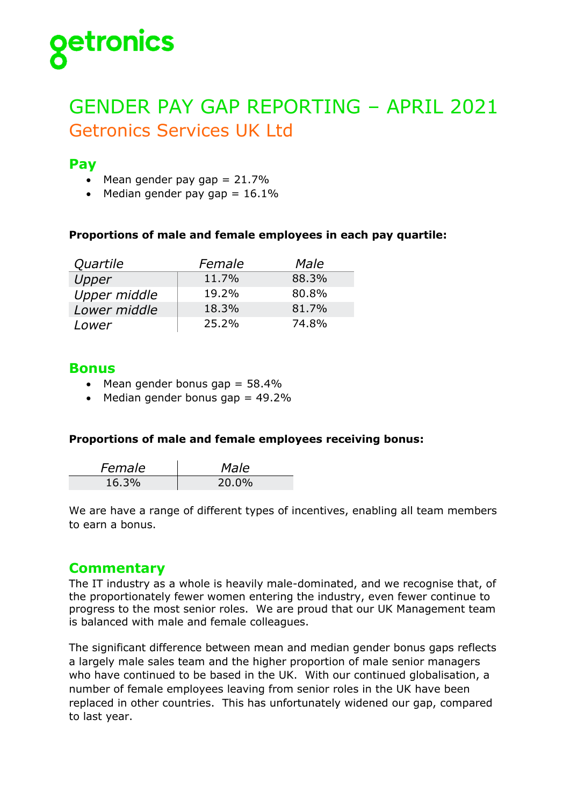

# GENDER PAY GAP REPORTING – APRIL 2021 Getronics Services UK Ltd

# **Pay**

- Mean gender pay gap  $= 21.7\%$
- Median gender pay gap  $= 16.1\%$

#### **Proportions of male and female employees in each pay quartile:**

| Quartile     | Female | Male  |
|--------------|--------|-------|
| Upper        | 11.7%  | 88.3% |
| Upper middle | 19.2%  | 80.8% |
| Lower middle | 18.3%  | 81.7% |
| Lower        | 25.2%  | 74.8% |

## **Bonus**

- Mean gender bonus gap  $= 58.4\%$
- Median gender bonus gap  $= 49.2\%$

#### **Proportions of male and female employees receiving bonus:**

| Female | Male  |
|--------|-------|
| 16.3%  | 20.0% |

We are have a range of different types of incentives, enabling all team members to earn a bonus.

# **Commentary**

The IT industry as a whole is heavily male-dominated, and we recognise that, of the proportionately fewer women entering the industry, even fewer continue to progress to the most senior roles. We are proud that our UK Management team is balanced with male and female colleagues.

The significant difference between mean and median gender bonus gaps reflects a largely male sales team and the higher proportion of male senior managers who have continued to be based in the UK. With our continued globalisation, a number of female employees leaving from senior roles in the UK have been replaced in other countries. This has unfortunately widened our gap, compared to last year.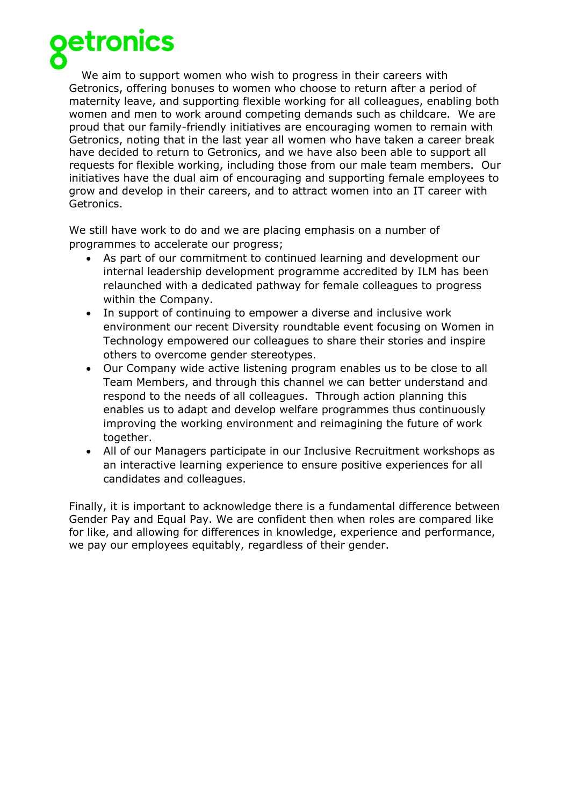

We aim to support women who wish to progress in their careers with Getronics, offering bonuses to women who choose to return after a period of maternity leave, and supporting flexible working for all colleagues, enabling both women and men to work around competing demands such as childcare. We are proud that our family-friendly initiatives are encouraging women to remain with Getronics, noting that in the last year all women who have taken a career break have decided to return to Getronics, and we have also been able to support all requests for flexible working, including those from our male team members. Our initiatives have the dual aim of encouraging and supporting female employees to grow and develop in their careers, and to attract women into an IT career with Getronics.

We still have work to do and we are placing emphasis on a number of programmes to accelerate our progress;

- As part of our commitment to continued learning and development our internal leadership development programme accredited by ILM has been relaunched with a dedicated pathway for female colleagues to progress within the Company.
- In support of continuing to empower a diverse and inclusive work environment our recent Diversity roundtable event focusing on Women in Technology empowered our colleagues to share their stories and inspire others to overcome gender stereotypes.
- Our Company wide active listening program enables us to be close to all Team Members, and through this channel we can better understand and respond to the needs of all colleagues. Through action planning this enables us to adapt and develop welfare programmes thus continuously improving the working environment and reimagining the future of work together.
- All of our Managers participate in our Inclusive Recruitment workshops as an interactive learning experience to ensure positive experiences for all candidates and colleagues.

Finally, it is important to acknowledge there is a fundamental difference between Gender Pay and Equal Pay. We are confident then when roles are compared like for like, and allowing for differences in knowledge, experience and performance, we pay our employees equitably, regardless of their gender.